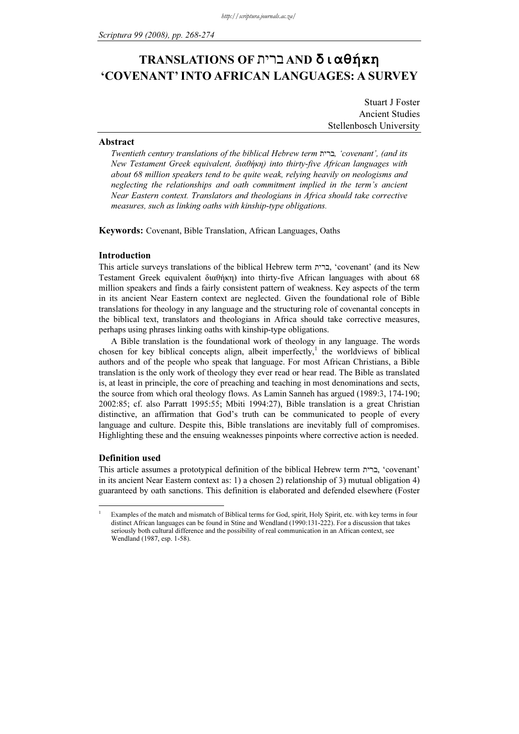# TRANSLATIONS OF ברית AND διαθήκη 'COVENANT' INTO AFRICAN LANGUAGES: A SURVEY

Stuart J Foster Ancient Studies Stellenbosch University

#### Abstract

Twentieth century translations of the biblical Hebrew term ברית,' covenant', (and its New Testament Greek equivalent, διαθήκη) into thirty-five African languages with about 68 million speakers tend to be quite weak, relying heavily on neologisms and neglecting the relationships and oath commitment implied in the term's ancient Near Eastern context. Translators and theologians in Africa should take corrective measures, such as linking oaths with kinship-type obligations.

Keywords: Covenant, Bible Translation, African Languages, Oaths

# Introduction

This article surveys translations of the biblical Hebrew term ברית,' covenant' (and its New Testament Greek equivalent διαθήκη) into thirty-five African languages with about 68 million speakers and finds a fairly consistent pattern of weakness. Key aspects of the term in its ancient Near Eastern context are neglected. Given the foundational role of Bible translations for theology in any language and the structuring role of covenantal concepts in the biblical text, translators and theologians in Africa should take corrective measures, perhaps using phrases linking oaths with kinship-type obligations.

A Bible translation is the foundational work of theology in any language. The words chosen for key biblical concepts align, albeit imperfectly,<sup>1</sup> the worldviews of biblical authors and of the people who speak that language. For most African Christians, a Bible translation is the only work of theology they ever read or hear read. The Bible as translated is, at least in principle, the core of preaching and teaching in most denominations and sects, the source from which oral theology flows. As Lamin Sanneh has argued (1989:3, 174-190; 2002:85; cf. also Parratt 1995:55; Mbiti 1994:27), Bible translation is a great Christian distinctive, an affirmation that God's truth can be communicated to people of every language and culture. Despite this, Bible translations are inevitably full of compromises. Highlighting these and the ensuing weaknesses pinpoints where corrective action is needed.

# Definition used

1

This article assumes a prototypical definition of the biblical Hebrew term ברית,' covenant' in its ancient Near Eastern context as: 1) a chosen 2) relationship of 3) mutual obligation 4) guaranteed by oath sanctions. This definition is elaborated and defended elsewhere (Foster

Examples of the match and mismatch of Biblical terms for God, spirit, Holy Spirit, etc. with key terms in four distinct African languages can be found in Stine and Wendland (1990:131-222). For a discussion that takes seriously both cultural difference and the possibility of real communication in an African context, see Wendland (1987, esp. 1-58).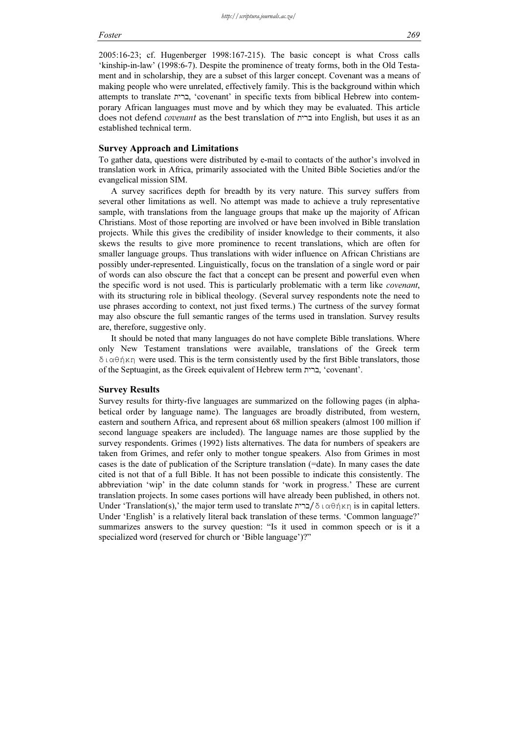### Foster 269

2005:16-23; cf. Hugenberger 1998:167-215). The basic concept is what Cross calls 'kinship-in-law' (1998:6-7). Despite the prominence of treaty forms, both in the Old Testament and in scholarship, they are a subset of this larger concept. Covenant was a means of making people who were unrelated, effectively family. This is the background within which attempts to translate ברית,' covenant' in specific texts from biblical Hebrew into contemporary African languages must move and by which they may be evaluated. This article does not defend covenant as the best translation of ברית into English, but uses it as an established technical term.

# Survey Approach and Limitations

To gather data, questions were distributed by e-mail to contacts of the author's involved in translation work in Africa, primarily associated with the United Bible Societies and/or the evangelical mission SIM.

A survey sacrifices depth for breadth by its very nature. This survey suffers from several other limitations as well. No attempt was made to achieve a truly representative sample, with translations from the language groups that make up the majority of African Christians. Most of those reporting are involved or have been involved in Bible translation projects. While this gives the credibility of insider knowledge to their comments, it also skews the results to give more prominence to recent translations, which are often for smaller language groups. Thus translations with wider influence on African Christians are possibly under-represented. Linguistically, focus on the translation of a single word or pair of words can also obscure the fact that a concept can be present and powerful even when the specific word is not used. This is particularly problematic with a term like covenant, with its structuring role in biblical theology. (Several survey respondents note the need to use phrases according to context, not just fixed terms.) The curtness of the survey format may also obscure the full semantic ranges of the terms used in translation. Survey results are, therefore, suggestive only.

It should be noted that many languages do not have complete Bible translations. Where only New Testament translations were available, translations of the Greek term διαθήκη were used. This is the term consistently used by the first Bible translators, those of the Septuagint, as the Greek equivalent of Hebrew term ברית,' covenant'.

#### Survey Results

Survey results for thirty-five languages are summarized on the following pages (in alphabetical order by language name). The languages are broadly distributed, from western, eastern and southern Africa, and represent about 68 million speakers (almost 100 million if second language speakers are included). The language names are those supplied by the survey respondents. Grimes (1992) lists alternatives. The data for numbers of speakers are taken from Grimes, and refer only to mother tongue speakers. Also from Grimes in most cases is the date of publication of the Scripture translation (=date). In many cases the date cited is not that of a full Bible. It has not been possible to indicate this consistently. The abbreviation 'wip' in the date column stands for 'work in progress.' These are current translation projects. In some cases portions will have already been published, in others not. Under 'Translation(s),' the major term used to translate ברית  $\delta \iota \alpha$ θήκη is in capital letters. Under 'English' is a relatively literal back translation of these terms. 'Common language?' summarizes answers to the survey question: "Is it used in common speech or is it a specialized word (reserved for church or 'Bible language')?"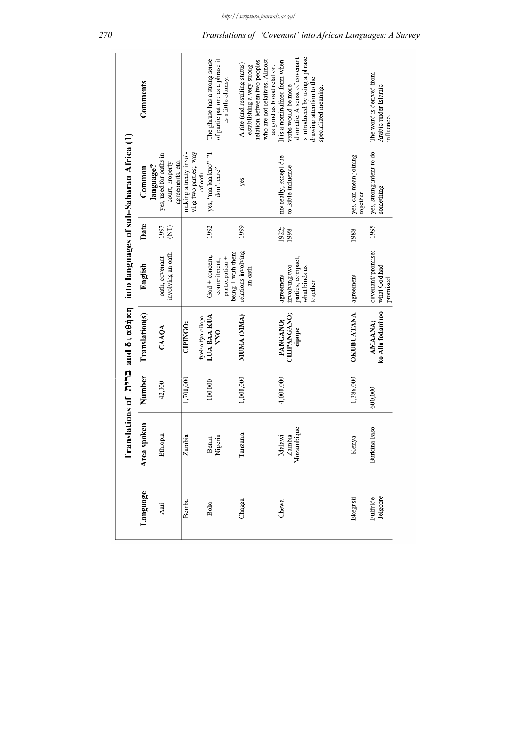|                       | Fran                           |           | aslations of $\overline{\mathbf{r}}$ and $\overline{\mathbf{c}}$ i aesism |                                                                              |               | into languages of sub-Saharan Africa (1)                      |                                                                                                                                                                               |
|-----------------------|--------------------------------|-----------|---------------------------------------------------------------------------|------------------------------------------------------------------------------|---------------|---------------------------------------------------------------|-------------------------------------------------------------------------------------------------------------------------------------------------------------------------------|
| Language              | Area spoken                    | Number    | Translation(s)                                                            | English                                                                      | Date          | language?<br>Common                                           | Comments                                                                                                                                                                      |
| Aari                  | Ethiopia                       | 42,000    | CAAQA                                                                     | involving an oath<br>oath, covenant                                          | 1997<br>Ę     | yes, used for oaths in<br>agreements, etc.<br>court, property |                                                                                                                                                                               |
| Bemba                 | Zambia                         | 1,700,000 | fyebo fya cilapo<br>CIPINGO;                                              |                                                                              |               | making a treaty invol-<br>ving two parties; way<br>of oath    |                                                                                                                                                                               |
| Boko                  | Nigeria<br>Benin               | 100,000   | LUA BAA KUA<br>$\frac{6}{2}$                                              | $being + with them$<br>$God + concern$<br>participation +<br>commitment;     | 1992          | yes, "ma baa kuo"="I<br>don't care"                           | of participation; as a phrase it<br>The phrase has a strong sense<br>is a little clumsy.                                                                                      |
| Chagga                | Tanzania                       | 1,000,000 | MUMA (MMA)                                                                | relations involving<br>an oath                                               | 1999          | yes                                                           | relation between two peoples<br>who are not relatives. Almost<br>A rite (and resulting status)<br>establishing a very strong<br>as good as blood relation.                    |
| Chewa                 | Mozambique<br>Zambia<br>Malawi | 4,000,000 | CHIPANGANO;<br>PANGANO:<br>cipope                                         | parties, compact;<br>involving two<br>what binds us<br>agreement<br>together | 1922;<br>1998 | not really, except due<br>to Bible influence                  | idiomatic. A sense of covenant<br>is introduced by using a phrase<br>It is a nominalized form when<br>drawing attention to the<br>verbs would be more<br>specialized meaning. |
| Ekegusii              | Kenya                          | 1,386,000 | <b>OKUBUATANA</b>                                                         | agreement                                                                    | 1988          | yes, can mean joining<br>together                             |                                                                                                                                                                               |
| -Jelgoore<br>Fulfulde | Faso<br>Burkina                | 600,000   | ko Alla fodaninoo<br><b>AMAANA:</b>                                       | covenant/promise;<br>what God had<br>promised                                | 1995          | yes, strong intent to do<br>something                         | The word is derived from<br>Arabic under Islamic<br>influence.                                                                                                                |

*http://scriptura.journals.ac.za/*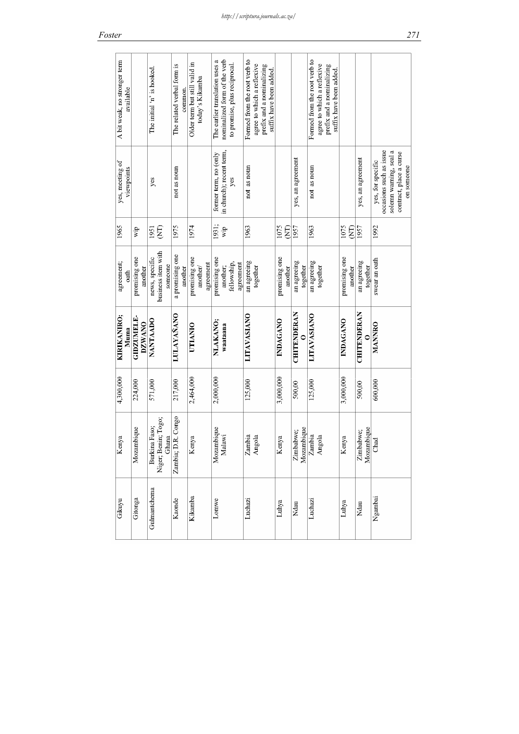| A bit weak, no stronger term<br>available |                                    | The initial 'n' is hooked.                    | The related verbal form is<br>common. | Older term but still valid in<br>today's Kikamba | nominalized form of the verb<br>The earlier translation uses a<br>to promise, plus reciprocal. | Formed from the root verb to<br>agree to which a reflexive<br>prefix and a nominalizing<br>suffix have been added. |                          |                         | Formed from the root verb to<br>agree to which a reflexive<br>prefix and a nominalizing<br>suffix have been added. |                          |                         |                                                                                                                 |
|-------------------------------------------|------------------------------------|-----------------------------------------------|---------------------------------------|--------------------------------------------------|------------------------------------------------------------------------------------------------|--------------------------------------------------------------------------------------------------------------------|--------------------------|-------------------------|--------------------------------------------------------------------------------------------------------------------|--------------------------|-------------------------|-----------------------------------------------------------------------------------------------------------------|
| yes, meeting of<br>viewpoints             |                                    | yes                                           | not as noun                           |                                                  | in church); recent term,<br>former term, no (only<br>yes                                       | not as noun                                                                                                        |                          | yes, an agreement       | not as noun                                                                                                        |                          | yes, an agreement       | solemn warning, seal a<br>occasions such as issue<br>contract, place a curse<br>yes, for specific<br>on someone |
| 1965                                      | ΥP                                 | 1951<br>Ê                                     | 1975                                  | 1974                                             | 1931;<br>vір                                                                                   | 1963                                                                                                               | 1075<br>Ē                | 1957                    | 1963                                                                                                               | 1075<br>Ê                | 1957                    | 1992                                                                                                            |
| agreement;<br>oath                        | promising one<br>another           | business item with<br>news, specific          | a promising one<br>someone<br>another | promising one<br>agreement<br>another/           | promising one<br>fellowship,<br>agreement<br>another;                                          | an agreeing<br>together                                                                                            | promising one<br>another | an agreeing<br>together | an agreeing<br>together                                                                                            | promising one<br>another | an agreeing<br>together | swear an oath                                                                                                   |
| KIRIKANIRO;<br>Muma                       | <b>GIDZUMELE-</b><br><b>DZWANO</b> | NANTAADO                                      | <b>LULAYAÑANO</b>                     | <b>UTIANIO</b>                                   | NLAKANO;<br>waataana                                                                           | <b>LITAVASIANO</b>                                                                                                 | <b>INDAGANO</b>          | <b>CHITENDERAN</b>      | <b>LITAVASIANO</b>                                                                                                 | <b>INDAGANO</b>          | CHITENDERAN<br>$\circ$  | <b>MANNRO</b>                                                                                                   |
| 4,300,000                                 | 224,000                            | 571,000                                       | 217,000                               | 2,464,000                                        | 2,000,000                                                                                      | 125,000                                                                                                            | 3,000,000                | 500,00                  | 125,000                                                                                                            | 3,000,000                | 500,00                  | 600,000                                                                                                         |
| Kenya                                     | Mozambique                         | Niger; Benin; Togo;<br>Burkina Faso;<br>Ghana | Zambia; D.R. Congo                    | Kenya                                            | Mozambique<br>Malawi                                                                           | Zambia<br>Angola                                                                                                   | Kenya                    | Mozambique<br>Zimbabwe; | Zambia<br>Angola                                                                                                   | Kenya                    | Mozambique<br>Zimbabwe; | Chad                                                                                                            |

Gulmantchema

Gikuyu Gitonga Kikamba

Lonwe

Luchazi

Luhya

Ndau

Luchazi

Kaonde

Ngambai

Luhya Ndau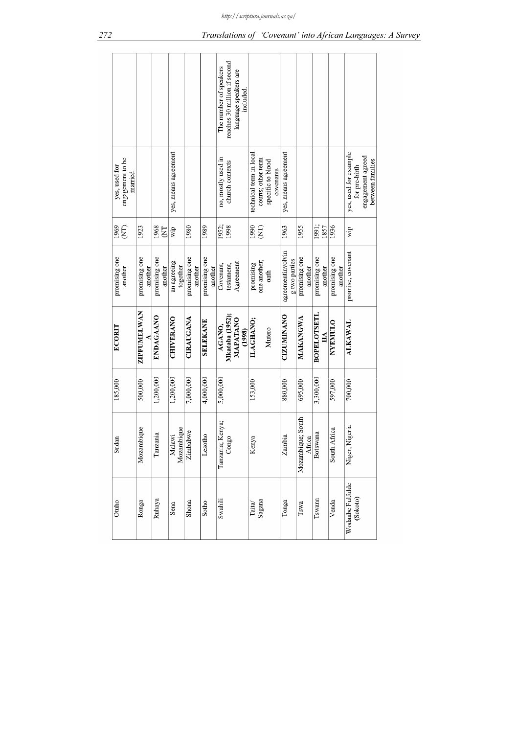|                                              |                          |                          |                         |                          |                          | reaches 30 million if second<br>The number of speakers | language speakers are<br>included. |                         |                    |                                |                                        |                                             |                                    |                          |                                                                                 |
|----------------------------------------------|--------------------------|--------------------------|-------------------------|--------------------------|--------------------------|--------------------------------------------------------|------------------------------------|-------------------------|--------------------|--------------------------------|----------------------------------------|---------------------------------------------|------------------------------------|--------------------------|---------------------------------------------------------------------------------|
| engagement to be<br>yes, used for<br>married |                          |                          | yes, means agreement    |                          |                          | no, mostly used in<br>church contexts                  |                                    | technical term in local | courts; other term | specific to blood<br>covenants | yes, means agreement                   |                                             |                                    |                          | yes, used for example<br>engagement agreed<br>between families<br>for pre-birth |
| 1969<br>Ê                                    | 1923                     | 1968<br>ENL              | ψÁ                      | 1980                     | 1989                     | 1952;<br>1998                                          |                                    | 1990                    | Ê                  |                                | 1963                                   | 1955                                        | 1991;<br>1857                      | 1936                     | ÝФ                                                                              |
| promising one<br>another                     | promising one<br>another | promising one<br>another | an agreeing<br>together | promising one<br>another | promising one<br>another | Covenant,<br>testament,                                | Agreement                          | promising               | one another;       | oath                           | agreement<br>involvin<br>g two parties | promising one<br>another                    | promising one<br>another           | promising one<br>another | promise, covenant                                                               |
| <b>ECORIT</b>                                | <b>ZIPFUMELWAN</b>       | <b>ENDAGAANO</b>         | CHIVERANO               | <b>CIRAUGANA</b>         | <b>SELEKANE</b>          | Mkataba (1952);<br>AGANO,                              | MAPATANO<br>(1998)                 | ILAGHANO;               |                    | Mutero                         | <b>CIZUMINANO</b>                      | <b>MAKANGWA</b>                             | <b>BOPELOTSETL</b><br>$\mathbb{H}$ | <b>NYEMULO</b>           | <b>ALKAWAL</b>                                                                  |
| 185,000                                      | 500,000                  | 1,200,000                | 1,200,000               | 7,000,000                | 4,000,000                | 5,000,000                                              |                                    | 153,000                 |                    |                                | 880,000                                | 695,000                                     | 3,300,000                          | 597,000                  | 700,000                                                                         |
| Sudan                                        | Mozambique               | Tanzania                 | Mozambique<br>Malawi    | Zimbabwe                 | Lesotho                  | Tanzania; Kenya;<br>Congo                              |                                    | Kenya                   |                    |                                | Zambia                                 | Mozambique; South<br>$\mathfrak{F}$<br>Afri | Botswana                           | South Africa             | igeria<br>Niger; N                                                              |
| Otuho                                        | Ronga                    | Ruhaya                   | Sena                    | Shona                    | Sotho                    | Swahili                                                |                                    | Taita/                  | Sagana             |                                | Tonga                                  | Tswa                                        | Tswana                             | Venda                    | Wodaabe Fulfulde<br>(Sokoto)                                                    |

*http://scriptura.journals.ac.za/*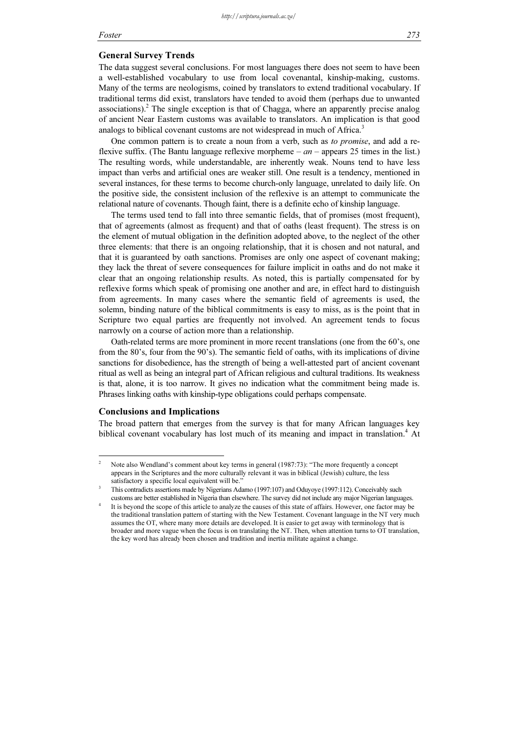#### Foster 273

# General Survey Trends

The data suggest several conclusions. For most languages there does not seem to have been a well-established vocabulary to use from local covenantal, kinship-making, customs. Many of the terms are neologisms, coined by translators to extend traditional vocabulary. If traditional terms did exist, translators have tended to avoid them (perhaps due to unwanted associations).<sup>2</sup> The single exception is that of Chagga, where an apparently precise analog of ancient Near Eastern customs was available to translators. An implication is that good analogs to biblical covenant customs are not widespread in much of Africa.<sup>3</sup>

One common pattern is to create a noun from a verb, such as to promise, and add a reflexive suffix. (The Bantu language reflexive morpheme –  $an$  – appears 25 times in the list.) The resulting words, while understandable, are inherently weak. Nouns tend to have less impact than verbs and artificial ones are weaker still. One result is a tendency, mentioned in several instances, for these terms to become church-only language, unrelated to daily life. On the positive side, the consistent inclusion of the reflexive is an attempt to communicate the relational nature of covenants. Though faint, there is a definite echo of kinship language.

The terms used tend to fall into three semantic fields, that of promises (most frequent), that of agreements (almost as frequent) and that of oaths (least frequent). The stress is on the element of mutual obligation in the definition adopted above, to the neglect of the other three elements: that there is an ongoing relationship, that it is chosen and not natural, and that it is guaranteed by oath sanctions. Promises are only one aspect of covenant making; they lack the threat of severe consequences for failure implicit in oaths and do not make it clear that an ongoing relationship results. As noted, this is partially compensated for by reflexive forms which speak of promising one another and are, in effect hard to distinguish from agreements. In many cases where the semantic field of agreements is used, the solemn, binding nature of the biblical commitments is easy to miss, as is the point that in Scripture two equal parties are frequently not involved. An agreement tends to focus narrowly on a course of action more than a relationship.

Oath-related terms are more prominent in more recent translations (one from the 60's, one from the 80's, four from the 90's). The semantic field of oaths, with its implications of divine sanctions for disobedience, has the strength of being a well-attested part of ancient covenant ritual as well as being an integral part of African religious and cultural traditions. Its weakness is that, alone, it is too narrow. It gives no indication what the commitment being made is. Phrases linking oaths with kinship-type obligations could perhaps compensate.

#### Conclusions and Implications

The broad pattern that emerges from the survey is that for many African languages key biblical covenant vocabulary has lost much of its meaning and impact in translation.<sup>4</sup> At

<sup>2</sup> Note also Wendland's comment about key terms in general (1987:73): "The more frequently a concept appears in the Scriptures and the more culturally relevant it was in biblical (Jewish) culture, the less satisfactory a specific local equivalent will be."

<sup>3</sup> This contradicts assertions made by Nigerians Adamo (1997:107) and Oduyoye (1997:112). Conceivably such customs are better established in Nigeria than elsewhere. The survey did not include any major Nigerian languages.

<sup>4</sup> It is beyond the scope of this article to analyze the causes of this state of affairs. However, one factor may be the traditional translation pattern of starting with the New Testament. Covenant language in the NT very much assumes the OT, where many more details are developed. It is easier to get away with terminology that is broader and more vague when the focus is on translating the NT. Then, when attention turns to OT translation, the key word has already been chosen and tradition and inertia militate against a change.